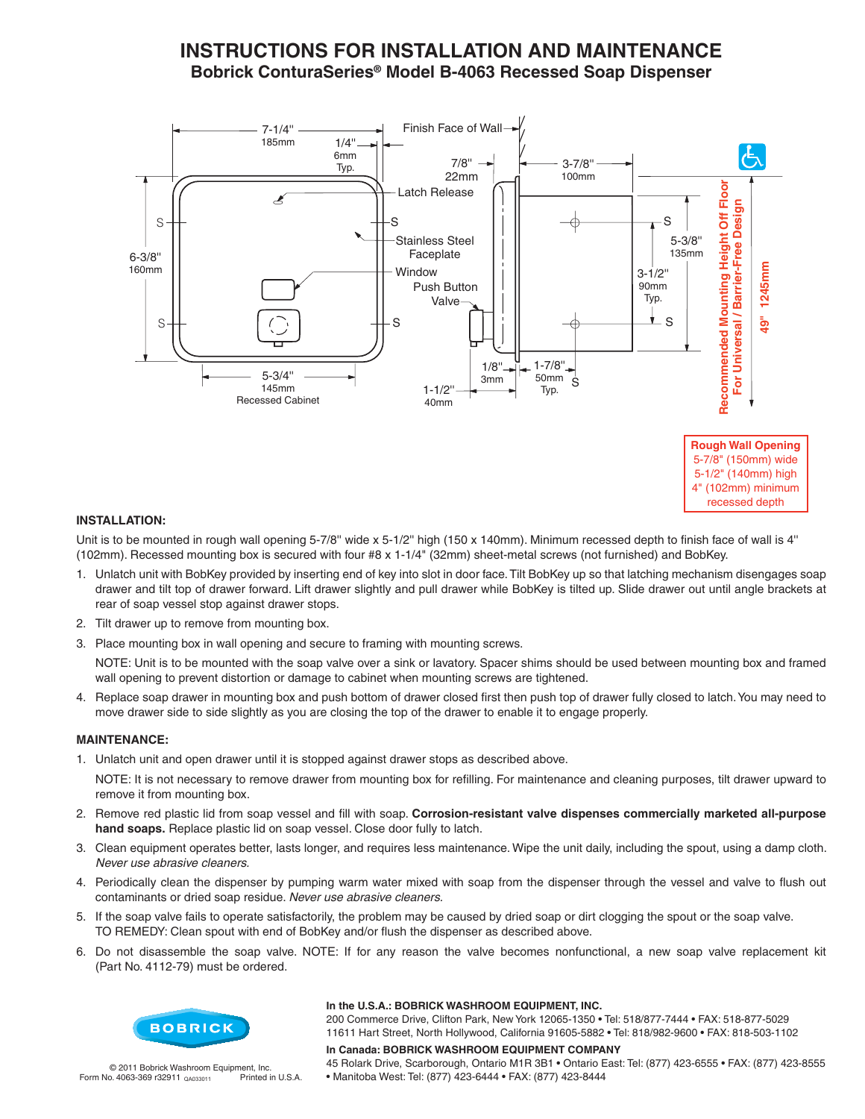# **INSTRUCTIONS FOR INSTALLATION AND MAINTENANCE** Bobrick ConturaSeries<sup>®</sup> Model B-4063 Recessed Soap Dispenser



**INSTALLATION:** 

Unit is to be mounted in rough wall opening 5-7/8" wide x 5-1/2" high (150 x 140mm). Minimum recessed depth to finish face of wall is 4" (102mm). Recessed mounting box is secured with four #8 x 1-1/4" (32mm) sheet-metal screws (not furnished) and BobKey.

- 1. Unlatch unit with BobKey provided by inserting end of key into slot in door face. Tilt BobKey up so that latching mechanism disengages soap drawer and tilt top of drawer forward. Lift drawer slightly and pull drawer while BobKey is tilted up. Slide drawer out until angle brackets at rear of soap vessel stop against drawer stops.
- 2. Tilt drawer up to remove from mounting box.
- 3. Place mounting box in wall opening and secure to framing with mounting screws.

NOTE: Unit is to be mounted with the soap valve over a sink or lavatory. Spacer shims should be used between mounting box and framed wall opening to prevent distortion or damage to cabinet when mounting screws are tightened.

4. Replace soap drawer in mounting box and push bottom of drawer closed first then push top of drawer fully closed to latch. You may need to move drawer side to side slightly as you are closing the top of the drawer to enable it to engage properly.

#### **MAINTENANCE:**

1. Unlatch unit and open drawer until it is stopped against drawer stops as described above.

NOTE: It is not necessary to remove drawer from mounting box for refilling. For maintenance and cleaning purposes, tilt drawer upward to remove it from mounting box.

- 2. Remove red plastic lid from soap vessel and fill with soap. Corrosion-resistant valve dispenses commercially marketed all-purpose hand soaps. Replace plastic lid on soap vessel. Close door fully to latch.
- 3. Clean equipment operates better, lasts longer, and requires less maintenance. Wipe the unit daily, including the spout, using a damp cloth. Never use abrasive cleaners.
- 4. Periodically clean the dispenser by pumping warm water mixed with soap from the dispenser through the vessel and valve to flush out contaminants or dried soap residue. Never use abrasive cleaners.
- 5. If the soap valve fails to operate satisfactorily, the problem may be caused by dried soap or dirt clogging the spout or the soap valve. TO REMEDY: Clean spout with end of BobKey and/or flush the dispenser as described above.
- 6. Do not disassemble the soap valve. NOTE: If for any reason the valve becomes nonfunctional, a new soap valve replacement kit (Part No. 4112-79) must be ordered.



#### In the U.S.A.: BOBRICK WASHROOM EQUIPMENT, INC.

200 Commerce Drive, Clifton Park, New York 12065-1350 . Tel: 518/877-7444 . FAX: 518-877-5029 11611 Hart Street, North Hollywood, California 91605-5882 . Tel: 818/982-9600 . FAX: 818-503-1102

#### © 2011 Bobrick Washroom Equipment, Inc. Form No. 4063-369 r32911 QA033011 Printed in U.S.A.

In Canada: BOBRICK WASHROOM EQUIPMENT COMPANY 45 Rolark Drive, Scarborough, Ontario M1R 3B1 . Ontario East: Tel: (877) 423-6555 . FAX: (877) 423-8555

· Manitoba West: Tel: (877) 423-6444 · FAX: (877) 423-8444